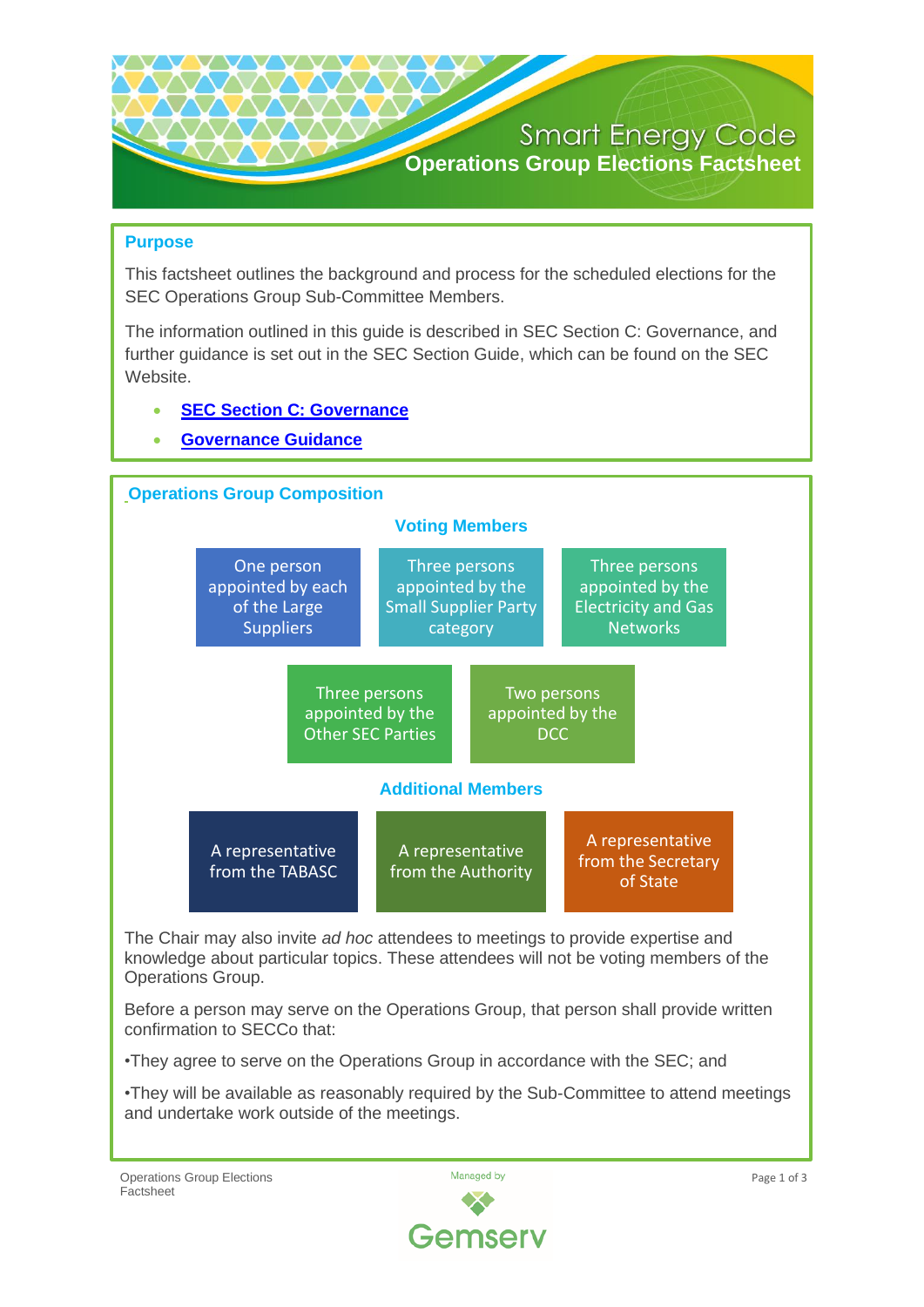

### **Purpose**

This factsheet outlines the background and process for the scheduled elections for the SEC Operations Group Sub-Committee Members.

The information outlined in this guide is described in SEC Section C: Governance, and further guidance is set out in the SEC Section Guide, which can be found on the SEC Website.

- **[SEC Section C: Governance](https://smartenergycodecompany.co.uk/document-download-centre/download-info/sec-section-c-governance-2/)**
- **[Governance Guidance](https://smartenergycodecompany.co.uk/document-download-centre/download-info/sec-section-c-governance-2/)**



The Chair may also invite *ad hoc* attendees to meetings to provide expertise and knowledge about particular topics. These attendees will not be voting members of the Operations Group.

Before a person may serve on the Operations Group, that person shall provide written confirmation to SECCo that:

•They agree to serve on the Operations Group in accordance with the SEC; and

•They will be available as reasonably required by the Sub-Committee to attend meetings and undertake work outside of the meetings.

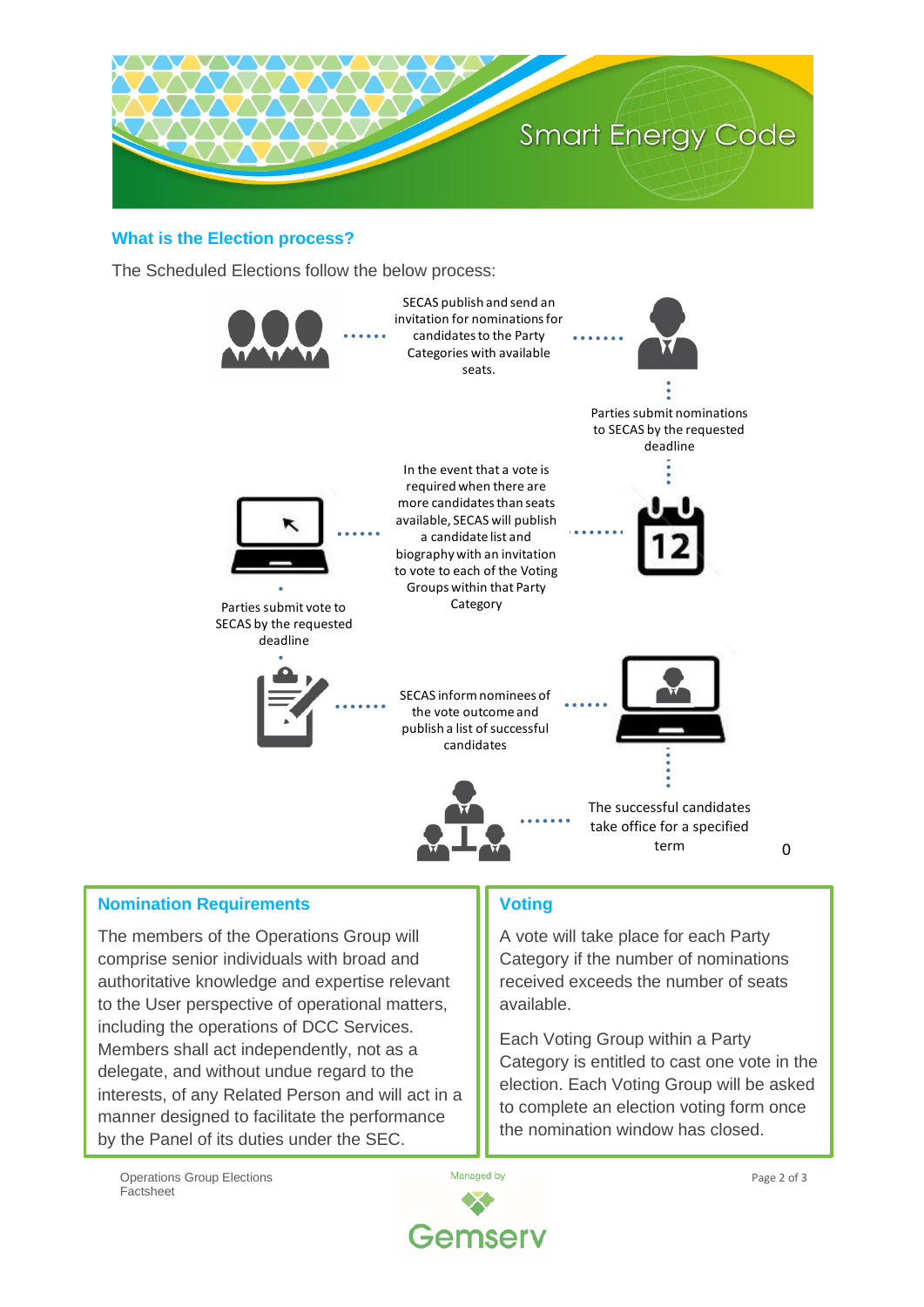

#### **What is the Election process?**

The Scheduled Elections follow the below process:



### **Nomination Requirements**

The members of the Operations Group will comprise senior individuals with broad and authoritative knowledge and expertise relevant to the User perspective of operational matters, including the operations of DCC Services. Members shall act independently, not as a delegate, and without undue regard to the interests, of any Related Person and will act in a manner designed to facilitate the performance by the Panel of its duties under the SEC.

# **Voting**

A vote will take place for each Party Category if the number of nominations received exceeds the number of seats available.

Each Voting Group within a Party Category is entitled to cast one vote in the election. Each Voting Group will be asked to complete an election voting form once the nomination window has closed.

Operations Group Elections Factsheet



0